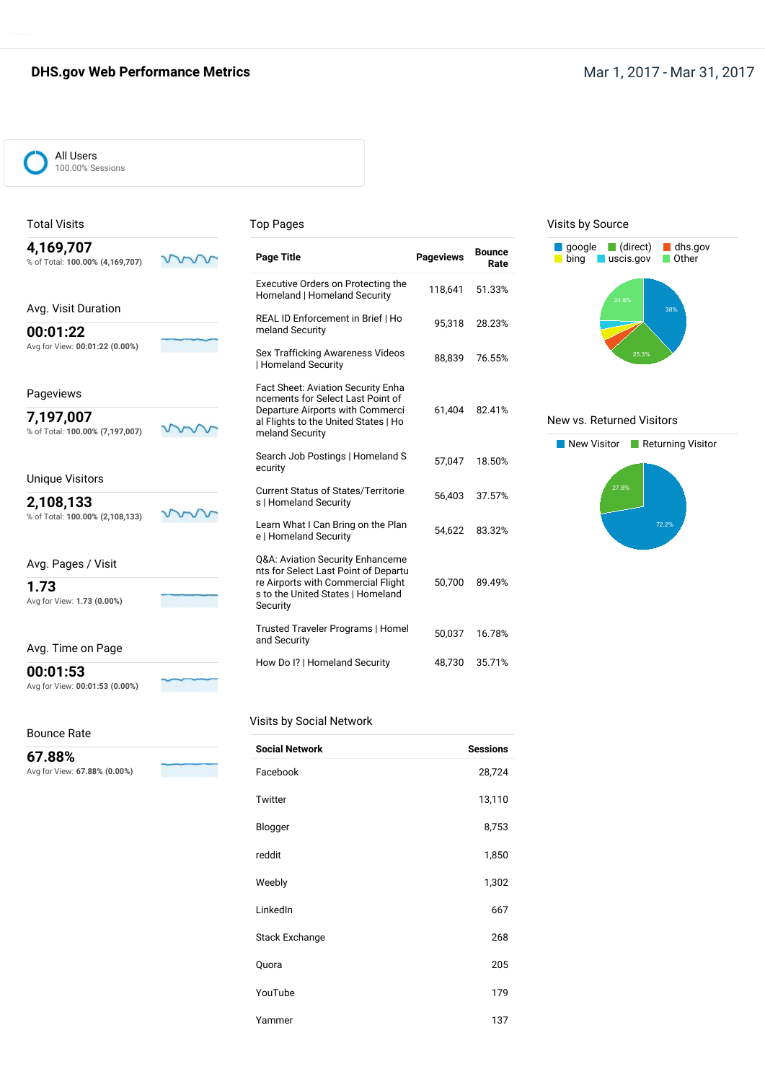## **DHS.gov Web Performance Metrics** Mate of the Mar 1, 2017 - Mar 31, 2017 - Mar 31, 2017



## Total Visits

#### Top Pages

| 4,169,707<br>% of Total: 100.00% (4,169,707) | <b>Page Title</b>                                                                           | <b>Pageviews</b> | <b>Bounce</b><br>Rate |
|----------------------------------------------|---------------------------------------------------------------------------------------------|------------------|-----------------------|
|                                              | Executive Orders on Protecting the<br>Homeland   Homeland Security                          | 118,641          | 51.33%                |
| Avg. Visit Duration                          | REAL ID Enforcement in Brief   Ho                                                           |                  |                       |
| 00:01:22                                     | meland Security                                                                             | 95,318           | 28.23%                |
| Avg for View: 00:01:22 (0.00%)               | Sex Trafficking Awareness Videos<br>  Homeland Security                                     | 88,839           | 76.55%                |
| Pageviews                                    | Fact Sheet: Aviation Security Enha<br>ncements for Select Last Point of                     |                  |                       |
| 7,197,007<br>% of Total: 100.00% (7,197,007) | Departure Airports with Commerci<br>al Flights to the United States   Ho<br>meland Security | 61.404           | 82.41%                |
|                                              | Search Job Postings   Homeland S<br>ecurity                                                 | 57,047           | 18.50%                |
| <b>Unique Visitors</b>                       | <b>Current Status of States/Territorie</b>                                                  |                  |                       |
| 2,108,133                                    | s   Homeland Security                                                                       | 56,403           | 37.57%                |
| % of Total: 100.00% (2,108,133)              | Learn What I Can Bring on the Plan<br>e   Homeland Security                                 | 54.622           | 83.32%                |
| Avg. Pages / Visit                           | Q&A: Aviation Security Enhanceme<br>nts for Select Last Point of Departu                    |                  |                       |
| 1.73<br>Avg for View: 1.73 (0.00%)           | re Airports with Commercial Flight<br>s to the United States   Homeland<br>Security         | 50.700           | 89.49%                |
|                                              | Trusted Traveler Programs   Homel<br>and Security                                           | 50,037           | 16.78%                |

### Visits by Source



#### New vs. Returned Visitors



## **1.73**

Avg. Time on Page

#### **00:01:53**

Avg for View: **00:01:53 (0.00%)**

#### Bounce Rate

**67.88%** Avg for View: **67.88% (0.00%)**

#### Visits by Social Network

| <b>Social Network</b> | <b>Sessions</b> |
|-----------------------|-----------------|
| Facebook              | 28,724          |
| Twitter               | 13,110          |
| Blogger               | 8,753           |
| reddit                | 1,850           |
| Weebly                | 1,302           |
| LinkedIn              | 667             |
| <b>Stack Exchange</b> | 268             |
| Quora                 | 205             |
| YouTube               | 179             |
| Yammer                | 137             |

How Do I? | Homeland Security 48,730 35.71%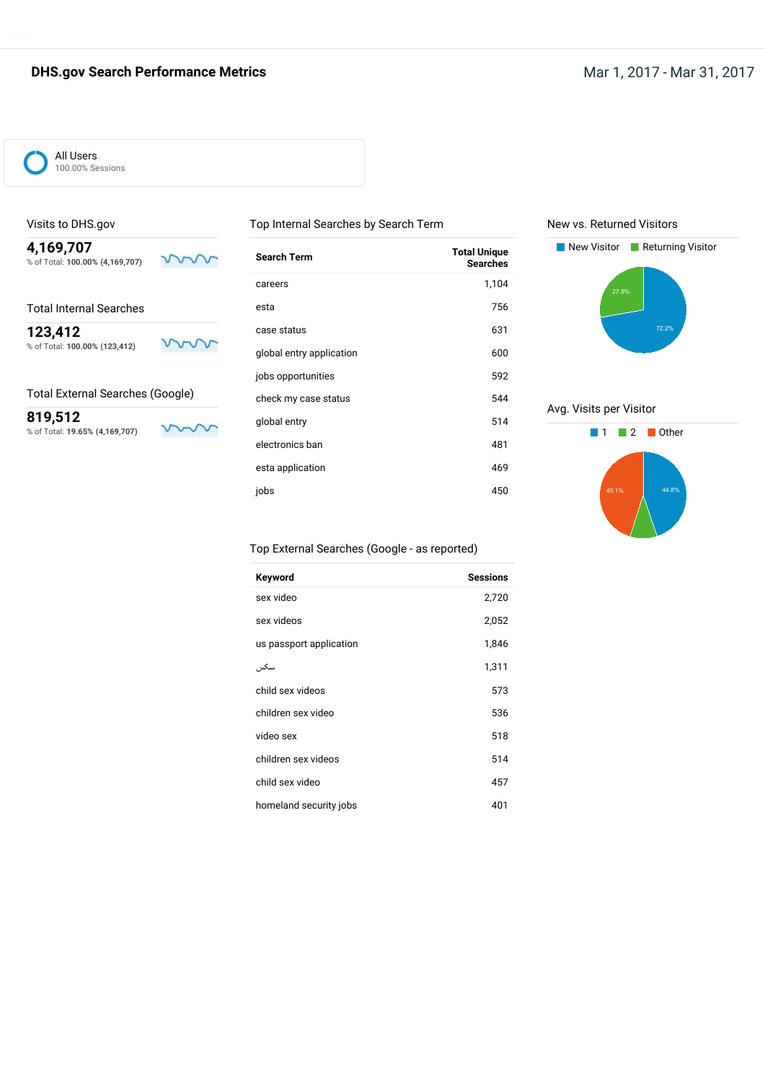## **DHS.gov Search Performance Metrics** Mar 1, 2017 - Mar 31, 2017



## Visits to DHS.gov

**4,169,707** % of Total: **100.00% (4,169,707)**

# Total Internal Searches

**123,412**

% of Total: **100.00% (123,412)**

### Total External Searches (Google)

**819,512** % of Total: **19.65% (4,169,707)**

m

ww

ν

 $\mathsf{V}$ 

| Search Term              | <b>Total Unique</b><br><b>Searches</b> |
|--------------------------|----------------------------------------|
| careers                  | 1,104                                  |
| esta                     | 756                                    |
| case status              | 631                                    |
| global entry application | 600                                    |
| jobs opportunities       | 592                                    |
| check my case status     | 544                                    |
| global entry             | 514                                    |
| electronics ban          | 481                                    |
| esta application         | 469                                    |
| iobs                     | 450                                    |
|                          |                                        |

Top Internal Searches by Search Term

#### New vs. Returned Visitors



### Avg. Visits per Visitor



## Top External Searches (Google - as reported)

| Keyword                 | <b>Sessions</b> |
|-------------------------|-----------------|
| sex video               | 2,720           |
| sex videos              | 2,052           |
| us passport application | 1,846           |
| سكس                     | 1,311           |
| child sex videos        | 573             |
| children sex video      | 536             |
| video sex               | 518             |
| children sex videos     | 514             |
| child sex video         | 457             |
| homeland security jobs  | 401             |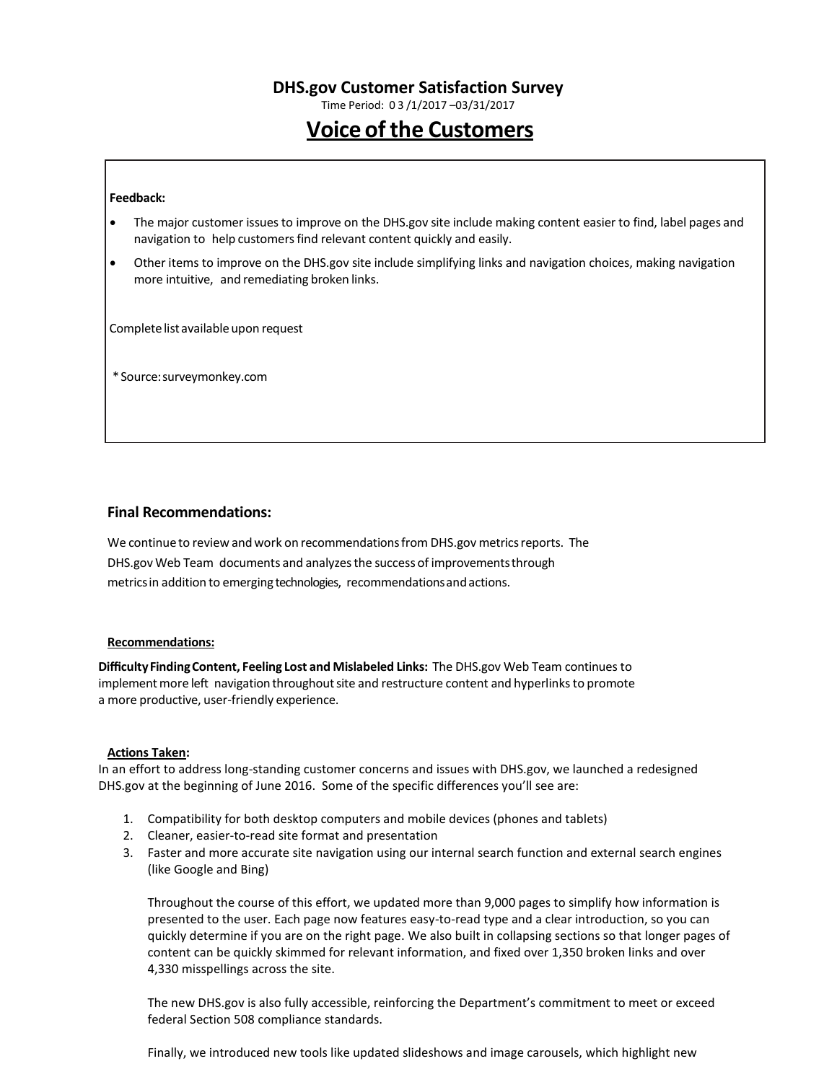Time Period: 0 3 /1/2017 –03/31/2017

# **Voice of the Customers**

#### **Feedback:**

- The major customer issuesto improve on the DHS.gov site include making content easier to find, label pages and navigation to help customers find relevant content quickly and easily.
- Other items to improve on the DHS.gov site include simplifying links and navigation choices, making navigation more intuitive, and remediating broken links.

Complete list available upon request

\*Source:surveymonkey.com

### **Final Recommendations:**

We continue to review and work on recommendations from DHS.gov metrics reports. The DHS.gov Web Team documents and analyzesthe success of improvementsthrough metricsin addition to emerging technologies, recommendationsandactions.

#### **Recommendations:**

**DifficultyFindingContent, Feeling Lost and Mislabeled Links:** The DHS.gov Web Team continues to implement more left navigation throughout site and restructure content and hyperlinks to promote a more productive, user-friendly experience.

#### **Actions Taken:**

In an effort to address long-standing customer concerns and issues with DHS.gov, we launched a redesigned DHS.gov at the beginning of June 2016. Some of the specific differences you'll see are:

- 1. Compatibility for both desktop computers and mobile devices (phones and tablets)
- 2. Cleaner, easier-to-read site format and presentation
- 3. Faster and more accurate site navigation using our internal search function and external search engines (like Google and Bing)

Throughout the course of this effort, we updated more than 9,000 pages to simplify how information is presented to the user. Each page now features easy-to-read type and a clear introduction, so you can quickly determine if you are on the right page. We also built in collapsing sections so that longer pages of content can be quickly skimmed for relevant information, and fixed over 1,350 broken links and over 4,330 misspellings across the site.

The new DHS.gov is also fully accessible, reinforcing the Department's commitment to meet or exceed federal Section 508 compliance standards.

Finally, we introduced new tools like updated slideshows and image carousels, which highlight new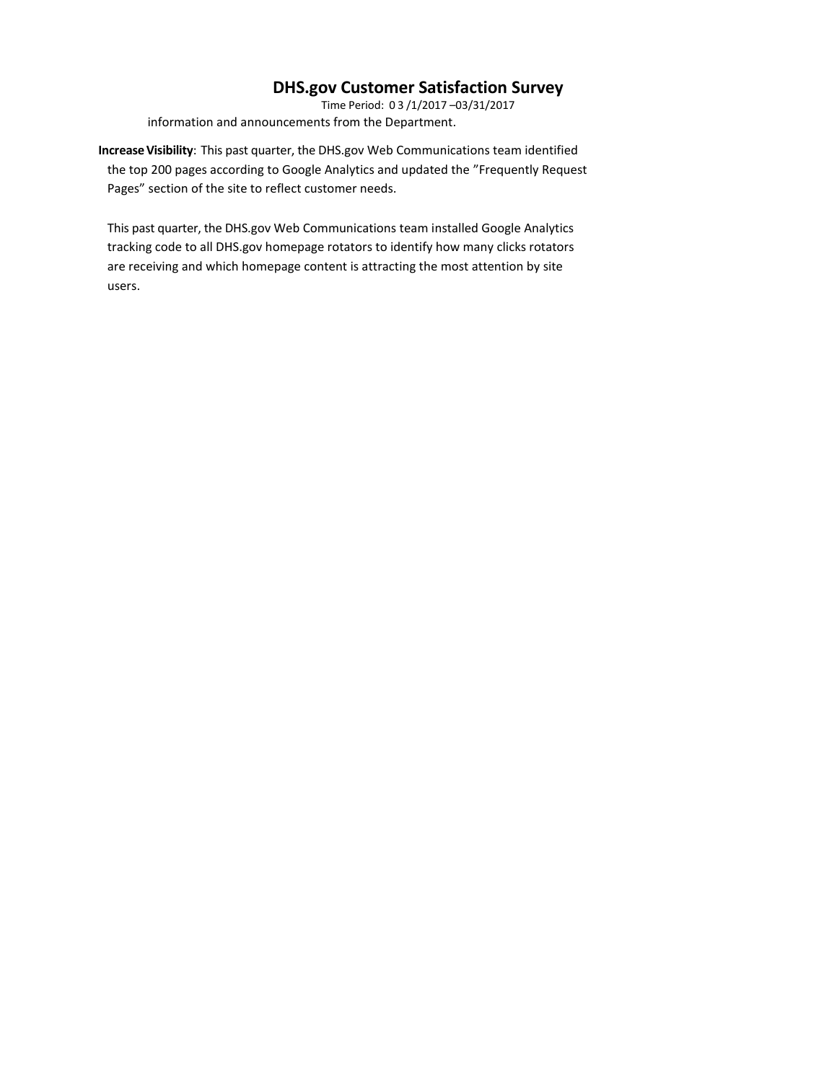Time Period: 0 3 /1/2017 –03/31/2017 information and announcements from the Department.

**IncreaseVisibility**: This past quarter, the DHS.gov Web Communications team identified the top 200 pages according to Google Analytics and updated the "Frequently Request Pages" section of the site to reflect customer needs.

This past quarter, the DHS.gov Web Communications team installed Google Analytics tracking code to all DHS.gov homepage rotators to identify how many clicks rotators are receiving and which homepage content is attracting the most attention by site users.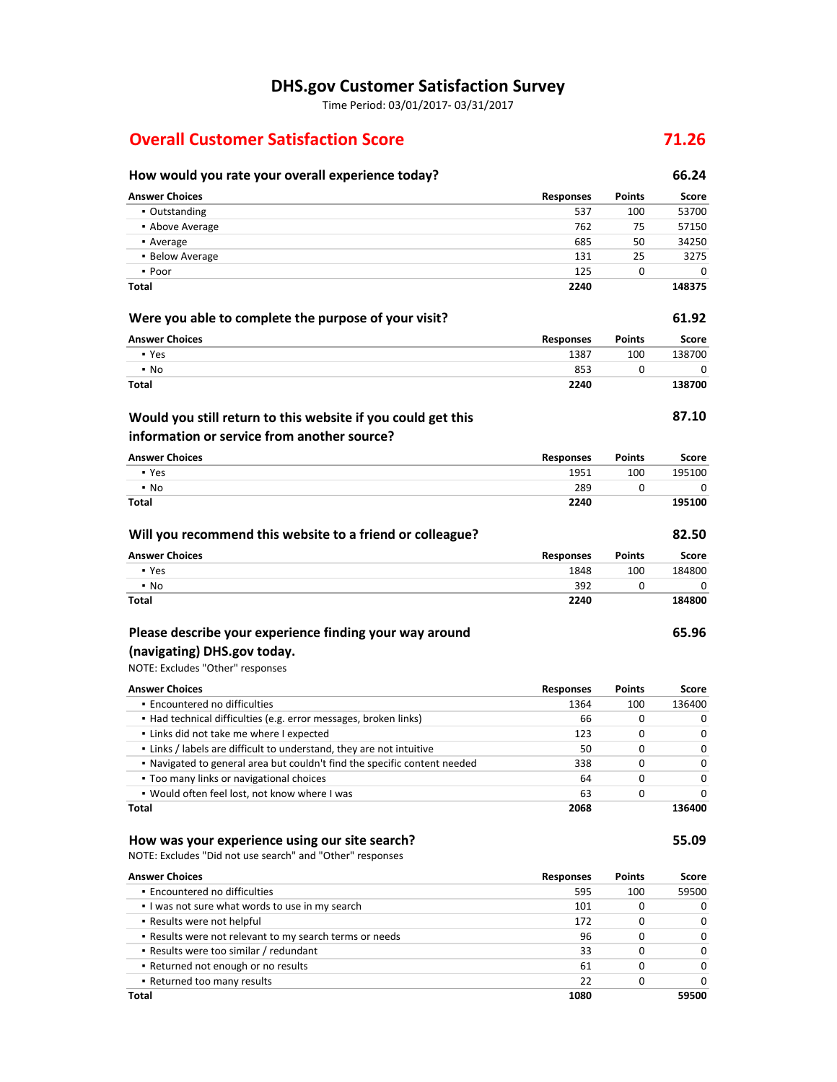Time Period: 03/01/2017- 03/31/2017

## **Overall Customer Satisfaction Score 71.26**

## **How would you rate your overall experience today? 66.24 Answer Choices Responses Points Score** ▪ Outstanding 537 100 53700 **•** Above Average 75 57150 • Average 685 50 34250 **34250** ▪ Below Average 131 25 3275  $\bullet$  Poor  $\qquad \qquad 0$ **Total 2240 148375 Were you able to complete the purpose of your visit? 61.92 Answer Choices Responses Points Score** ▪ Yes 1387 100 138700  $\bullet$  No  $\bullet$  0 0  $\bullet$  0  $\bullet$  0  $\bullet$  0  $\bullet$  0  $\bullet$  0  $\bullet$  0  $\bullet$  0  $\bullet$  0  $\bullet$  0  $\bullet$  0  $\bullet$  0  $\bullet$  0  $\bullet$  0  $\bullet$  0  $\bullet$  0  $\bullet$  0  $\bullet$  0  $\bullet$  0  $\bullet$  0  $\bullet$  0  $\bullet$  0  $\bullet$  0  $\bullet$  0  $\bullet$  0  $\bullet$  0  $\bullet$  0  $\bullet$  0  $\bullet$  0  $\bullet$  0 **Total 2240 138700**

## **Would you still return to this website if you could get this information or service from another source?**

| <b>Answer Choices</b> | <b>Responses</b> | <b>Points</b> | Score  |
|-----------------------|------------------|---------------|--------|
| • Yes                 | 1951             | 100           | 195100 |
| $\cdot$ No            | 289              |               |        |
| Total                 | 2240             |               | 195100 |

| Will you recommend this website to a friend or colleague? |                  |               | 82.50  |
|-----------------------------------------------------------|------------------|---------------|--------|
| <b>Answer Choices</b>                                     | <b>Responses</b> | <b>Points</b> | Score  |
| • Yes                                                     | 1848             | 100           | 184800 |
| $\cdot$ No                                                | 392              |               |        |
| Total                                                     | 2240             |               | 184800 |

## **Please describe your experience finding your way around (navigating) DHS.gov today.**

## NOTE: Excludes "Other" responses

| <b>Answer Choices</b>                                                     | <b>Responses</b> | <b>Points</b> | Score    |
|---------------------------------------------------------------------------|------------------|---------------|----------|
| • Encountered no difficulties                                             | 1364             | 100           | 136400   |
| • Had technical difficulties (e.g. error messages, broken links)          | 66               | 0             | 0        |
| • Links did not take me where I expected                                  | 123              | 0             | $\Omega$ |
| . Links / labels are difficult to understand, they are not intuitive      | 50               | 0             | $\Omega$ |
| . Navigated to general area but couldn't find the specific content needed | 338              |               | $\Omega$ |
| • Too many links or navigational choices                                  | 64               | O             | $\Omega$ |
| . Would often feel lost, not know where I was                             | 63               | 0             | 0        |
| Total                                                                     | 2068             |               | 136400   |

#### **How was your experience using our site search? 55.09**

NOTE: Excludes "Did not use search" and "Other" responses

| <b>Answer Choices</b>                                   | <b>Responses</b> | <b>Points</b> | Score    |
|---------------------------------------------------------|------------------|---------------|----------|
| • Encountered no difficulties                           | 595              | 100           | 59500    |
| I was not sure what words to use in my search           | 101              | 0             | $\Omega$ |
| • Results were not helpful                              | 172              | 0             | $\Omega$ |
| . Results were not relevant to my search terms or needs | 96               | 0             | $\Omega$ |
| • Results were too similar / redundant                  | 33               | 0             | $\Omega$ |
| • Returned not enough or no results                     | 61               | 0             | $\Omega$ |
| • Returned too many results                             | 22               | 0             | $\Omega$ |
| Total                                                   | 1080             |               | 59500    |

**87.10**

**65.96**